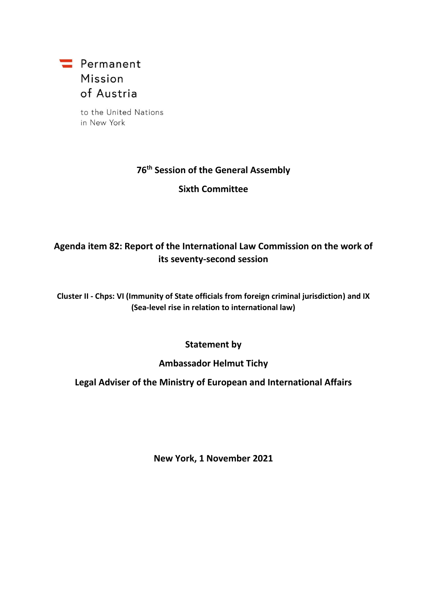

to the United Nations in New York

### **76 th Session of the General Assembly**

**Sixth Committee**

# **Agenda item 82: Report of the International Law Commission on the work of its seventy-second session**

**Cluster II - Chps: VI (Immunity of State officials from foreign criminal jurisdiction) and IX (Sea-level rise in relation to international law)**

#### **Statement by**

#### **Ambassador Helmut Tichy**

### **Legal Adviser of the Ministry of European and International Affairs**

**New York, 1 November 2021**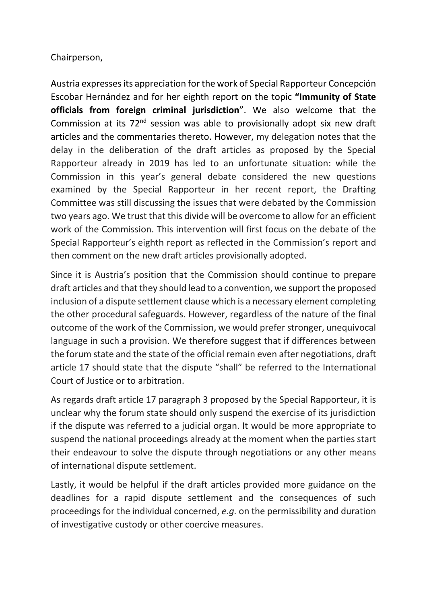### Chairperson,

Austria expresses its appreciation for the work of Special Rapporteur Concepción Escobar Hernández and for her eighth report on the topic **"Immunity of State officials from foreign criminal jurisdiction**". We also welcome that the Commission at its 72<sup>nd</sup> session was able to provisionally adopt six new draft articles and the commentaries thereto. However, my delegation notes that the delay in the deliberation of the draft articles as proposed by the Special Rapporteur already in 2019 has led to an unfortunate situation: while the Commission in this year's general debate considered the new questions examined by the Special Rapporteur in her recent report, the Drafting Committee was still discussing the issues that were debated by the Commission two years ago. We trust that this divide will be overcome to allow for an efficient work of the Commission. This intervention will first focus on the debate of the Special Rapporteur's eighth report as reflected in the Commission's report and then comment on the new draft articles provisionally adopted.

Since it is Austria's position that the Commission should continue to prepare draft articles and that they should lead to a convention, we support the proposed inclusion of a dispute settlement clause which is a necessary element completing the other procedural safeguards. However, regardless of the nature of the final outcome of the work of the Commission, we would prefer stronger, unequivocal language in such a provision. We therefore suggest that if differences between the forum state and the state of the official remain even after negotiations, draft article 17 should state that the dispute "shall" be referred to the International Court of Justice or to arbitration.

As regards draft article 17 paragraph 3 proposed by the Special Rapporteur, it is unclear why the forum state should only suspend the exercise of its jurisdiction if the dispute was referred to a judicial organ. It would be more appropriate to suspend the national proceedings already at the moment when the parties start their endeavour to solve the dispute through negotiations or any other means of international dispute settlement.

Lastly, it would be helpful if the draft articles provided more guidance on the deadlines for a rapid dispute settlement and the consequences of such proceedings for the individual concerned, *e.g.* on the permissibility and duration of investigative custody or other coercive measures.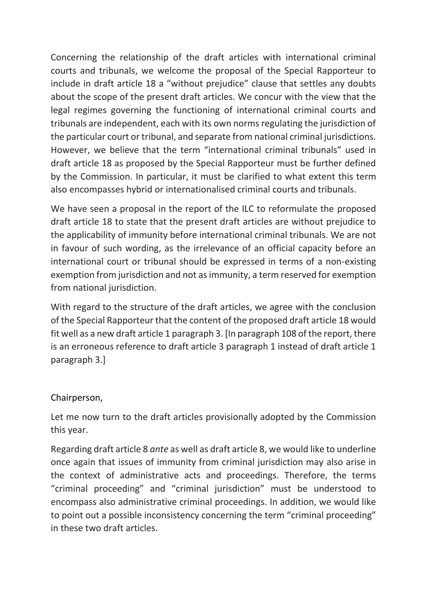Concerning the relationship of the draft articles with international criminal courts and tribunals, we welcome the proposal of the Special Rapporteur to include in draft article 18 a "without prejudice" clause that settles any doubts about the scope of the present draft articles. We concur with the view that the legal regimes governing the functioning of international criminal courts and tribunals are independent, each with its own norms regulating the jurisdiction of the particular court or tribunal, and separate from national criminal jurisdictions. However, we believe that the term "international criminal tribunals" used in draft article 18 as proposed by the Special Rapporteur must be further defined by the Commission. In particular, it must be clarified to what extent this term also encompasses hybrid or internationalised criminal courts and tribunals.

We have seen a proposal in the report of the ILC to reformulate the proposed draft article 18 to state that the present draft articles are without prejudice to the applicability of immunity before international criminal tribunals. We are not in favour of such wording, as the irrelevance of an official capacity before an international court or tribunal should be expressed in terms of a non-existing exemption from jurisdiction and not as immunity, a term reserved for exemption from national jurisdiction.

With regard to the structure of the draft articles, we agree with the conclusion of the Special Rapporteur that the content of the proposed draft article 18 would fit well as a new draft article 1 paragraph 3. [In paragraph 108 of the report, there is an erroneous reference to draft article 3 paragraph 1 instead of draft article 1 paragraph 3.]

#### Chairperson,

Let me now turn to the draft articles provisionally adopted by the Commission this year.

Regarding draft article 8 *ante* as well as draft article 8, we would like to underline once again that issues of immunity from criminal jurisdiction may also arise in the context of administrative acts and proceedings. Therefore, the terms "criminal proceeding" and "criminal jurisdiction" must be understood to encompass also administrative criminal proceedings. In addition, we would like to point out a possible inconsistency concerning the term "criminal proceeding" in these two draft articles.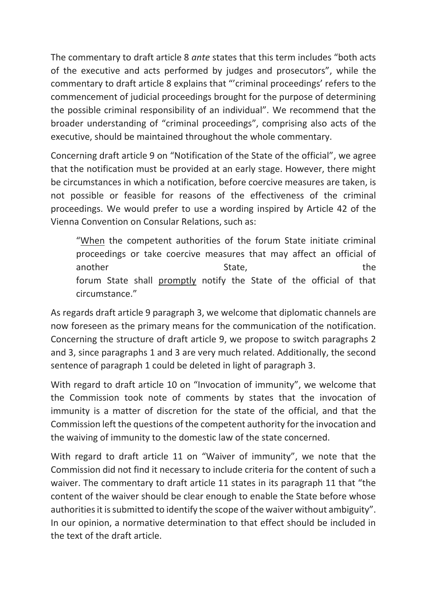The commentary to draft article 8 *ante* states that this term includes "both acts of the executive and acts performed by judges and prosecutors", while the commentary to draft article 8 explains that "'criminal proceedings' refers to the commencement of judicial proceedings brought for the purpose of determining the possible criminal responsibility of an individual". We recommend that the broader understanding of "criminal proceedings", comprising also acts of the executive, should be maintained throughout the whole commentary.

Concerning draft article 9 on "Notification of the State of the official", we agree that the notification must be provided at an early stage. However, there might be circumstances in which a notification, before coercive measures are taken, is not possible or feasible for reasons of the effectiveness of the criminal proceedings. We would prefer to use a wording inspired by Article 42 of the Vienna Convention on Consular Relations, such as:

"When the competent authorities of the forum State initiate criminal proceedings or take coercive measures that may affect an official of another and the State, the State, the State of the State of the State of the State of the State of the State o forum State shall promptly notify the State of the official of that circumstance."

As regards draft article 9 paragraph 3, we welcome that diplomatic channels are now foreseen as the primary means for the communication of the notification. Concerning the structure of draft article 9, we propose to switch paragraphs 2 and 3, since paragraphs 1 and 3 are very much related. Additionally, the second sentence of paragraph 1 could be deleted in light of paragraph 3.

With regard to draft article 10 on "Invocation of immunity", we welcome that the Commission took note of comments by states that the invocation of immunity is a matter of discretion for the state of the official, and that the Commission left the questions of the competent authority for the invocation and the waiving of immunity to the domestic law of the state concerned.

With regard to draft article 11 on "Waiver of immunity", we note that the Commission did not find it necessary to include criteria for the content of such a waiver. The commentary to draft article 11 states in its paragraph 11 that "the content of the waiver should be clear enough to enable the State before whose authorities it is submitted to identify the scope of the waiver without ambiguity". In our opinion, a normative determination to that effect should be included in the text of the draft article.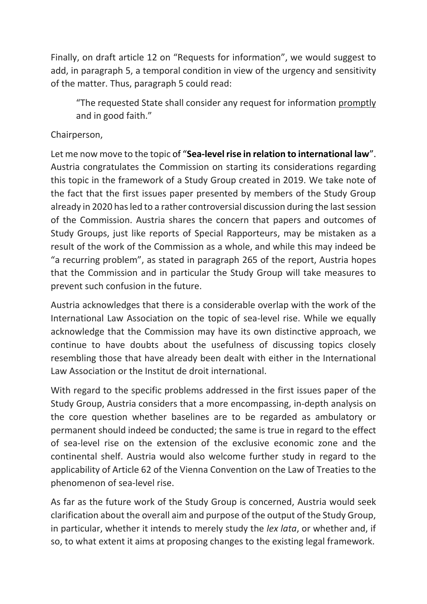Finally, on draft article 12 on "Requests for information", we would suggest to add, in paragraph 5, a temporal condition in view of the urgency and sensitivity of the matter. Thus, paragraph 5 could read:

"The requested State shall consider any request for information promptly and in good faith."

## Chairperson,

Let me now move to the topic of "**Sea-level rise in relation to international law**". Austria congratulates the Commission on starting its considerations regarding this topic in the framework of a Study Group created in 2019. We take note of the fact that the first issues paper presented by members of the Study Group already in 2020 has led to a rather controversial discussion during the last session of the Commission. Austria shares the concern that papers and outcomes of Study Groups, just like reports of Special Rapporteurs, may be mistaken as a result of the work of the Commission as a whole, and while this may indeed be "a recurring problem", as stated in paragraph 265 of the report, Austria hopes that the Commission and in particular the Study Group will take measures to prevent such confusion in the future.

Austria acknowledges that there is a considerable overlap with the work of the International Law Association on the topic of sea-level rise. While we equally acknowledge that the Commission may have its own distinctive approach, we continue to have doubts about the usefulness of discussing topics closely resembling those that have already been dealt with either in the International Law Association or the Institut de droit international.

With regard to the specific problems addressed in the first issues paper of the Study Group, Austria considers that a more encompassing, in-depth analysis on the core question whether baselines are to be regarded as ambulatory or permanent should indeed be conducted; the same is true in regard to the effect of sea-level rise on the extension of the exclusive economic zone and the continental shelf. Austria would also welcome further study in regard to the applicability of Article 62 of the Vienna Convention on the Law of Treaties to the phenomenon of sea-level rise.

As far as the future work of the Study Group is concerned, Austria would seek clarification about the overall aim and purpose of the output of the Study Group, in particular, whether it intends to merely study the *lex lata*, or whether and, if so, to what extent it aims at proposing changes to the existing legal framework.